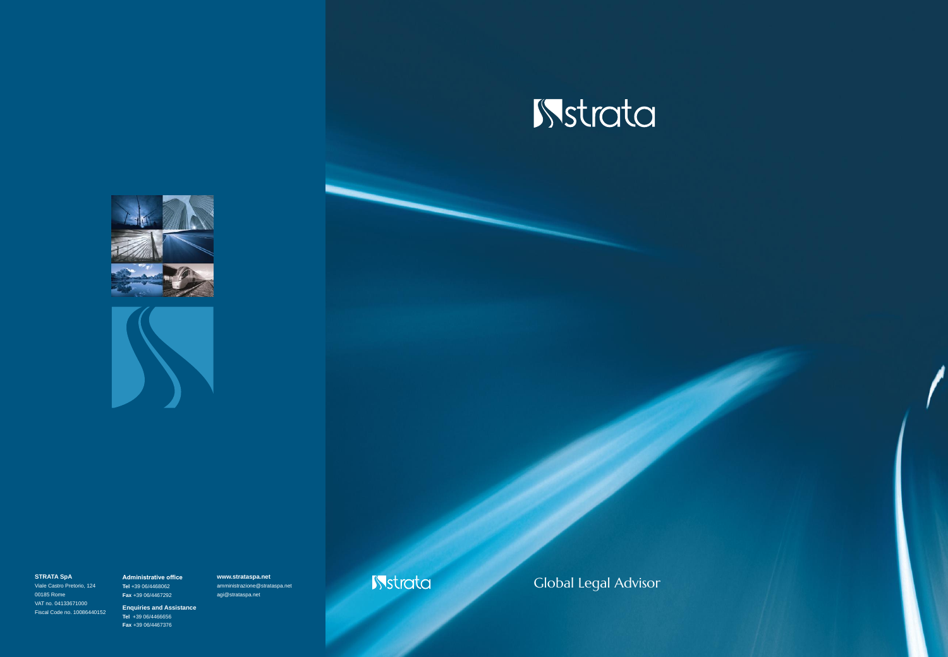





2 Fiscal Code no. 10086440152 Viale Castro Pretorio, 124 00185 Rome VAT no. 04133671000

**Administrative office Tel** +39 06/4468062 **Fax** +39 06/4467292 **Enquiries and Assistance Tel** +39 06/4466656 **Fax** +39 06/4467376

**www.strataspa.net** amministrazione@strataspa.net agi@strataspa.net

STRATA SpA Administrative office www.strataspa.net **Stratage in the Strate Contact Advisor** Clobal Legal Advisor

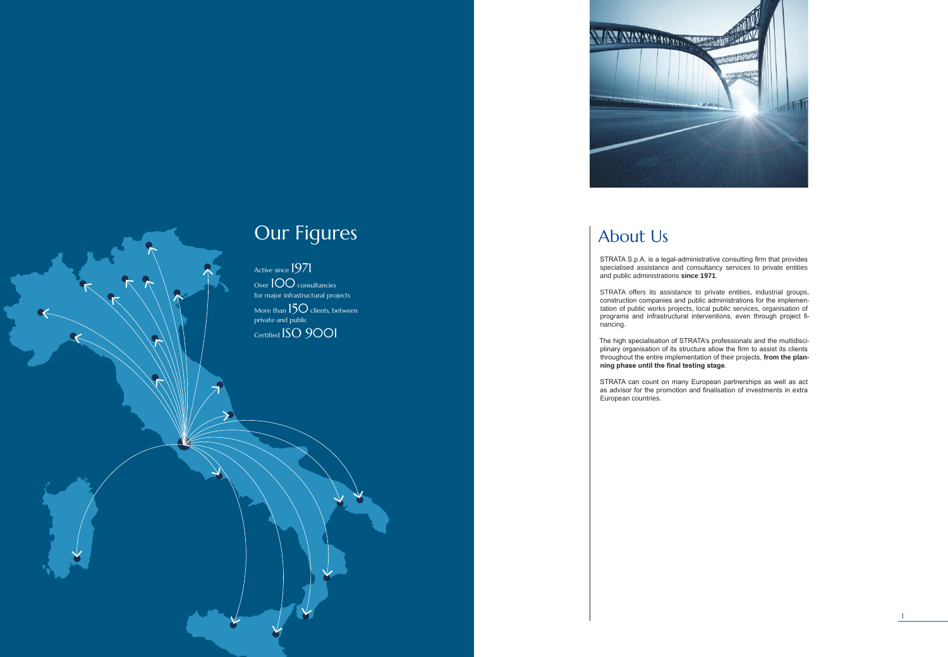Active since 1971 Over 100 consultancies for major infrastructural projects More than  $150$  clients, between private and public Certified ISO 9001

# Our Figures



# About Us

STRATA S.p.A. is a legal-administrative consulting firm that provides specialised assistance and consultancy services to private entities and public administrations **since 1971**.

STRATA offers its assistance to private entities, industrial groups, construction companies and public administrations for the implemen tation of public works projects, local public services, organisation of programs and infrastructural interventions, even through project fi -

nancing.

The high specialisation of STRATA's professionals and the multidisci plinary organisation of its structure allow the firm to assist its clients throughout the entire implementation of their projects, **from the plan ning phase until the final testing stage** .

STRATA can count on many European partnerships as well as act as advisor for the promotion and finalisation of investments in extra European countries.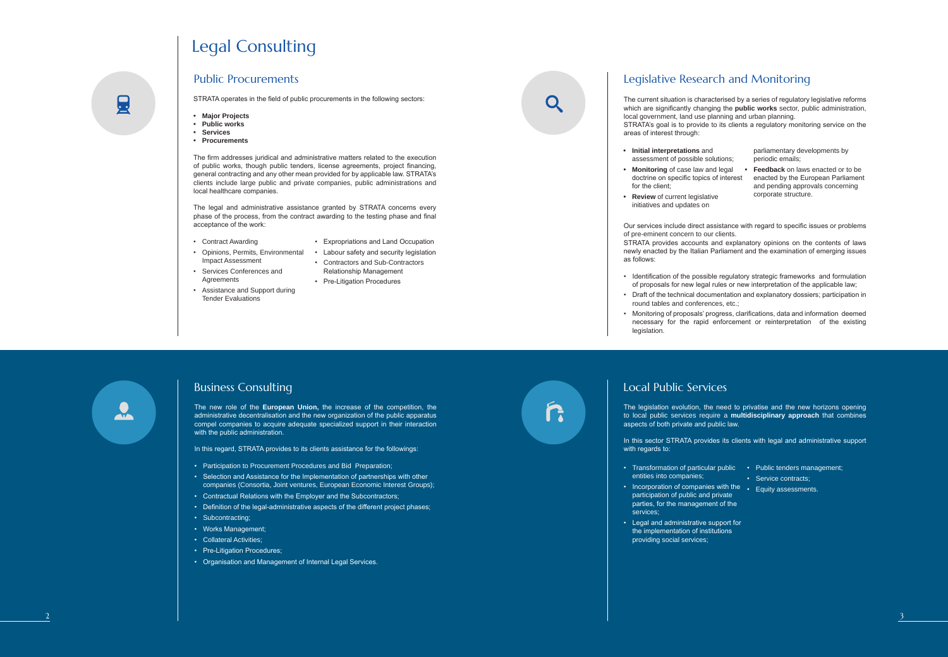#### Public Procurements

- 
- Contract Awarding<br>• Opinions, Permits, Environmental<br>• Services Conferences and<br>• Assistance and Support during<br>• Tender Evaluations<br>• Tender Evaluations<br>• Rusiness Consulting Impact Assessment
- Services Conferences and Agreements
- Assistance and Support during Tender Evaluations
- Expropriations and Land Occupation • Labour safety and security legislation
- Contractors and Sub-Contractors
- Relationship Management
- Pre-Litigation Procedures



Q

STRATA operates in the field of public procurements in the following sectors:

- **• Major Projects**
- **• Public works**
- **• Services**
- **• Procurements**

The new role of the **European Union,** the increase of the competition, the administrative decentralisation and the new organization of the public apparatus compel companies to acquire adequate specialized support in their interaction with the public administration.

In this regard, STRATA provides to its clients assistance for the followings:

The firm addresses juridical and administrative matters related to the execution of public works, though public tenders, license agreements, project financing, general contracting and any other mean provided for by applicable law. STRATA's clients include large public and private companies, public administrations and local healthcare companies.

The legal and administrative assistance granted by STRATA concerns every phase of the process, from the contract awarding to the testing phase and final acceptance of the work:

of pre-eminent concern to our clients. as follows: • Initial interpretations and<br>
• **Monitoring** of case law and<br>
• **Monitoring** of case law and<br>
• doctrine on specific topics of<br>
for the client;<br>
• **Review** of current legislative<br>
initiatives and updates on<br>
Our services

# Legal Consulting

- Participation to Procurement Procedures and Bid Preparation;
- Selection and Assistance for the Implementation of partnerships with other companies (Consortia, Joint ventures, European Economic Interest Groups);
- Contractual Relations with the Employer and the Subcontractors;
- Definition of the legal-administrative aspects of the different project phases;
- Subcontracting:
- Works Management;
- Collateral Activities;
- Pre-Litigation Procedures;
- Organisation and Management of Internal Legal Services.

# r.

#### Local Public Services

## Legislative Research and Monitoring

Our services include direct assistance with regard to specific issues or problems

STRATA provides accounts and explanatory opinions on the contents of laws newly enacted by the Italian Parliament and the examination of emerging issues

• Identification of the possible regulatory strategic frameworks and formulation of proposals for new legal rules or new interpretation of the applicable law;

• Draft of the technical documentation and explanatory dossiers; participation in round tables and conferences, etc.;

• Monitoring of proposals' progress, clarifications, data and information deemed necessary for the rapid enforcement or reinterpretation of the existing

- 
- 
- legislation.

# $\frac{1}{\sqrt{2}}$

圓

- entities into companies;
- Incorporation of companies with the Equity assessments. participation of public and private parties, for the management of the services;
- Legal and administrative support for the implementation of institutions providing social services;

The current situation is characterised by a series of regulatory legislative reforms which are significantly changing the **public works** sector, public administration, local government, land use planning and urban planning. STRATA's goal is to provide to its clients a regulatory monitoring service on the areas of interest through:

The legislation evolution, the need to privatise and the new horizons opening to local public services require a **multidisciplinary approach** that combines aspects of both private and public law.

In this sector STRATA provides its clients with legal and administrative support

- Transformation of particular public Public tenders management;
	- Service contracts;
	-
- assessment of possible solutions ;
- **• Monitoring** of case law and legal **• Feedback** on laws enacted or to be doctrine on specific topics of interest for the client;
- **• Review** of current legislative initiatives and updates on

parliamentary developments by periodic emails;

enacted by the European Parliament and pending approvals concerning corporate structure.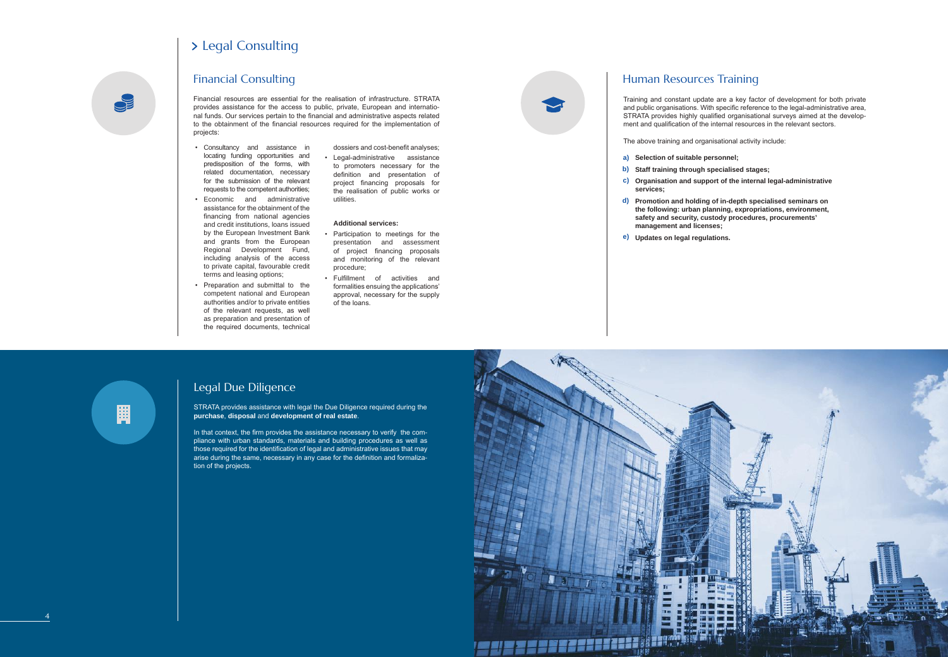STRATA provides assistance with legal the Due Diligence required during the **purchase**, **disposal** and **development of real estate**.

In that context, the firm provides the assistance necessary to verify the compliance with urban standards, materials and building procedures as well as those required for the identification of legal and administrative issues that may arise during the same, necessary in any case for the definition and formalization of the projects.

- Consultancy and assistance in locating funding opportunities and predisposition of the forms, with related documentation, necessary for the submission of the relevant requests to the competent authorities;
- Economic and administrative assistance for the obtainment of the financing from national agencies and credit institutions, loans issued by the European Investment Bank and grants from the European Regional Development Fund, including analysis of the access to private capital, favourable credit terms and leasing options;
- Preparation and submittal to the competent national and European authorities and/or to private entities of the relevant requests, as well as preparation and presentation of the required documents, technical

dossiers and cost-benefit analyses;

• Legal-administrative assistance to promoters necessary for the definition and presentation of project financing proposals for the realisation of public works or utilities.

#### **Additional services:**

- Participation to meetings for the presentation and assessment of project financing proposals and monitoring of the relevant procedure;
- Fulfillment of activities and formalities ensuing the applications' approval, necessary for the supply of the loans.



Financial resources are essential for the realisation of infrastructure. STRATA provides assistance for the access to public, private, European and international funds. Our services pertain to the financial and administrative aspects related to the obtainment of the financial resources required for the implementation of projects:

## > Legal Consulting

Financial Consulting

## Legal Due Diligence



Training and constant update are a key factor of development for both private and public organisations. With specific reference to the legal-administrative area, STRATA provides highly qualified organisational surveys aimed at the development and qualification of the internal resources in the relevant sectors.

The above training and organisational activity include:

- **Selection of suitable personnel; a)**
- **Staff training through specialised stages; b)**
- **services;**
- **management and licenses;**
- **Updates on legal regulations. e)**

鬨

**Organisation and support of the internal legal-administrative c)**

**Promotion and holding of in-depth specialised seminars on d) the following: urban planning, expropriations, environment, safety and security, custody procedures, procurements'** 

## Human Resources Training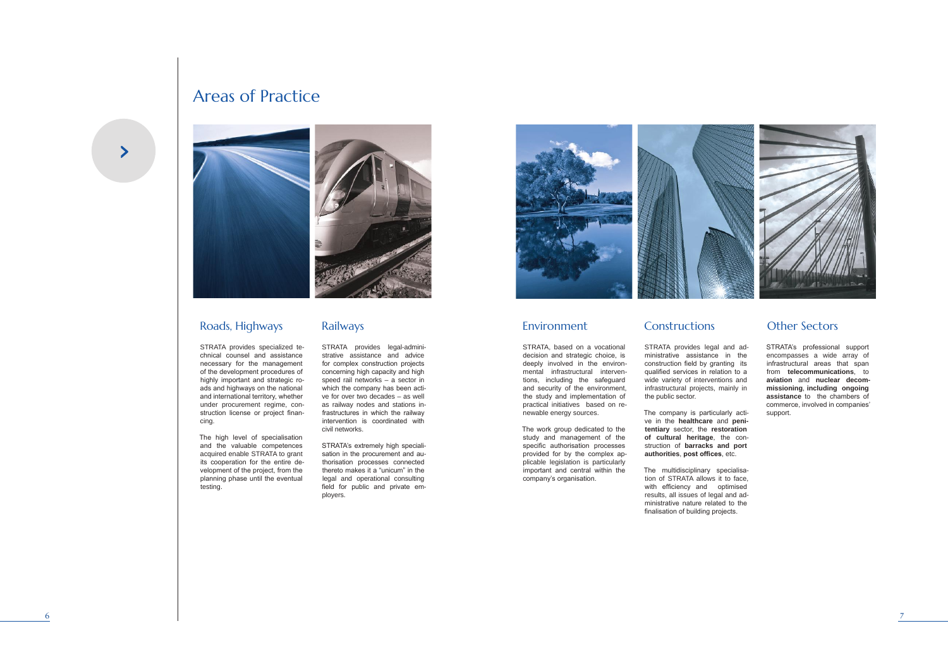



## Roads, Highways

STRATA provides specialized technical counsel and assistance necessary for the management of the development procedures of highly important and strategic roads and highways on the national and international territory, whether under procurement regime, construction license or project financing.

The high level of specialisation and the valuable competences acquired enable STRATA to grant its cooperation for the entire development of the project, from the planning phase until the eventual testing.

STRATA provides legal-administrative assistance and advice for complex construction projects concerning high capacity and high speed rail networks – a sector in which the company has been active for over two decades – as well as railway nodes and stations infrastructures in which the railway intervention is coordinated with civil networks.

STRATA's extremely high specialisation in the procurement and authorisation processes connected thereto makes it a "unicum" in the legal and operational consulting field for public and private employers.



## Areas of Practice



## Railways

### Environment Constructions Other Sectors

STRATA provides legal and administrative assistance in the construction field by granting its qualified services in relation to a wide variety of interventions and infrastructural projects, mainly in

the public sector.

The company is particularly active in the **healthcare** and **penitentiary** sector, the **restoration of cultural heritage**, the construction of **barracks and port authorities**, **post offices**, etc.

The multidisciplinary specialisation of STRATA allows it to face, with efficiency and optimised results, all issues of legal and administrative nature related to the finalisation of building projects.

STRATA, based on a vocational decision and strategic choice, is deeply involved in the environmental infrastructural interventions, including the safeguard and security of the environment, the study and implementation of practical initiatives based on renewable energy sources.

The work group dedicated to the study and management of the specific authorisation processes provided for by the complex applicable legislation is particularly important and central within the company's organisation.

STRATA's professional support encompasses a wide array of infrastructural areas that span from **telecommunications**, to **aviation** and **nuclear decommissioning**, **including ongoing assistance** to the chambers of commerce, involved in companies' support.